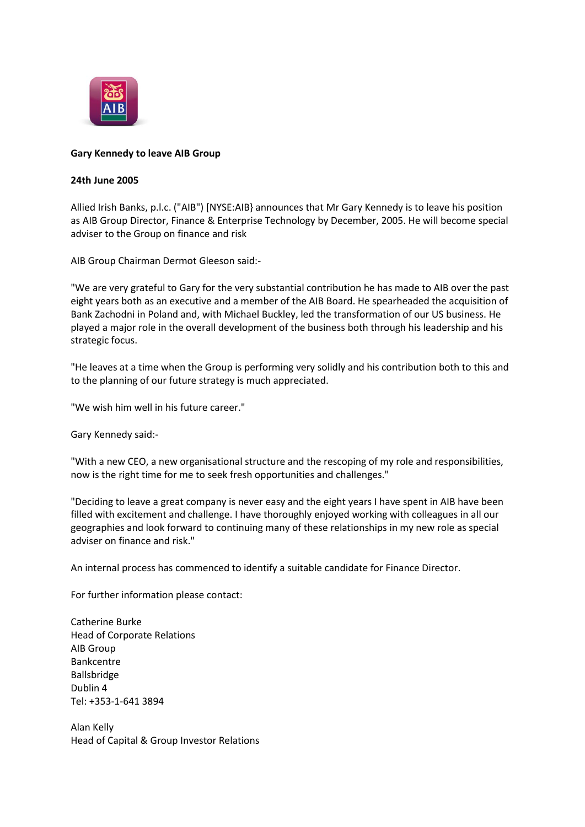

## **Gary Kennedy to leave AIB Group**

## **24th June 2005**

Allied Irish Banks, p.l.c. ("AIB") [NYSE:AIB} announces that Mr Gary Kennedy is to leave his position as AIB Group Director, Finance & Enterprise Technology by December, 2005. He will become special adviser to the Group on finance and risk

AIB Group Chairman Dermot Gleeson said:-

"We are very grateful to Gary for the very substantial contribution he has made to AIB over the past eight years both as an executive and a member of the AIB Board. He spearheaded the acquisition of Bank Zachodni in Poland and, with Michael Buckley, led the transformation of our US business. He played a major role in the overall development of the business both through his leadership and his strategic focus.

"He leaves at a time when the Group is performing very solidly and his contribution both to this and to the planning of our future strategy is much appreciated.

"We wish him well in his future career."

Gary Kennedy said:-

"With a new CEO, a new organisational structure and the rescoping of my role and responsibilities, now is the right time for me to seek fresh opportunities and challenges."

"Deciding to leave a great company is never easy and the eight years I have spent in AIB have been filled with excitement and challenge. I have thoroughly enjoyed working with colleagues in all our geographies and look forward to continuing many of these relationships in my new role as special adviser on finance and risk."

An internal process has commenced to identify a suitable candidate for Finance Director.

For further information please contact:

Catherine Burke Head of Corporate Relations AIB Group Bankcentre Ballsbridge Dublin 4 Tel: +353-1-641 3894

Alan Kelly Head of Capital & Group Investor Relations